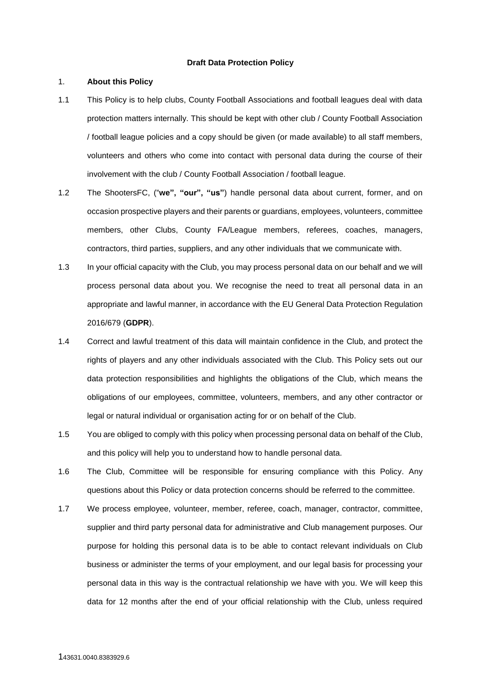#### **Draft Data Protection Policy**

#### 1. **About this Policy**

- 1.1 This Policy is to help clubs, County Football Associations and football leagues deal with data protection matters internally. This should be kept with other club / County Football Association / football league policies and a copy should be given (or made available) to all staff members, volunteers and others who come into contact with personal data during the course of their involvement with the club / County Football Association / football league.
- 1.2 The ShootersFC, ("**we", "our", "us"**) handle personal data about current, former, and on occasion prospective players and their parents or guardians, employees, volunteers, committee members, other Clubs, County FA/League members, referees, coaches, managers, contractors, third parties, suppliers, and any other individuals that we communicate with.
- 1.3 In your official capacity with the Club, you may process personal data on our behalf and we will process personal data about you. We recognise the need to treat all personal data in an appropriate and lawful manner, in accordance with the EU General Data Protection Regulation 2016/679 (**GDPR**).
- 1.4 Correct and lawful treatment of this data will maintain confidence in the Club, and protect the rights of players and any other individuals associated with the Club. This Policy sets out our data protection responsibilities and highlights the obligations of the Club, which means the obligations of our employees, committee, volunteers, members, and any other contractor or legal or natural individual or organisation acting for or on behalf of the Club.
- 1.5 You are obliged to comply with this policy when processing personal data on behalf of the Club, and this policy will help you to understand how to handle personal data.
- 1.6 The Club, Committee will be responsible for ensuring compliance with this Policy. Any questions about this Policy or data protection concerns should be referred to the committee.
- 1.7 We process employee, volunteer, member, referee, coach, manager, contractor, committee, supplier and third party personal data for administrative and Club management purposes. Our purpose for holding this personal data is to be able to contact relevant individuals on Club business or administer the terms of your employment, and our legal basis for processing your personal data in this way is the contractual relationship we have with you. We will keep this data for 12 months after the end of your official relationship with the Club, unless required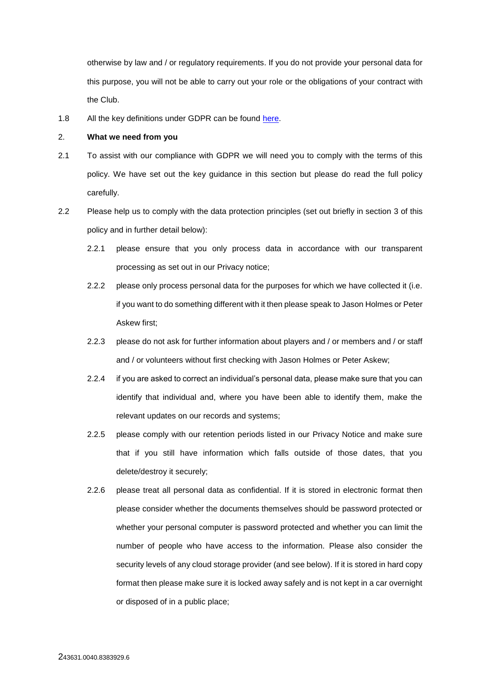otherwise by law and / or regulatory requirements. If you do not provide your personal data for this purpose, you will not be able to carry out your role or the obligations of your contract with the Club.

1.8 All the key definitions under GDPR can be found [here.](https://ico.org.uk/for-organisations/guide-to-the-general-data-protection-regulation-gdpr/key-definitions/)

# 2. **What we need from you**

- 2.1 To assist with our compliance with GDPR we will need you to comply with the terms of this policy. We have set out the key guidance in this section but please do read the full policy carefully.
- 2.2 Please help us to comply with the data protection principles (set out briefly in section [3](#page-2-0) of this policy and in further detail below):
	- 2.2.1 please ensure that you only process data in accordance with our transparent processing as set out in our Privacy notice;
	- 2.2.2 please only process personal data for the purposes for which we have collected it (i.e. if you want to do something different with it then please speak to Jason Holmes or Peter Askew first;
	- 2.2.3 please do not ask for further information about players and / or members and / or staff and / or volunteers without first checking with Jason Holmes or Peter Askew;
	- 2.2.4 if you are asked to correct an individual's personal data, please make sure that you can identify that individual and, where you have been able to identify them, make the relevant updates on our records and systems;
	- 2.2.5 please comply with our retention periods listed in our Privacy Notice and make sure that if you still have information which falls outside of those dates, that you delete/destroy it securely;
	- 2.2.6 please treat all personal data as confidential. If it is stored in electronic format then please consider whether the documents themselves should be password protected or whether your personal computer is password protected and whether you can limit the number of people who have access to the information. Please also consider the security levels of any cloud storage provider (and see below). If it is stored in hard copy format then please make sure it is locked away safely and is not kept in a car overnight or disposed of in a public place;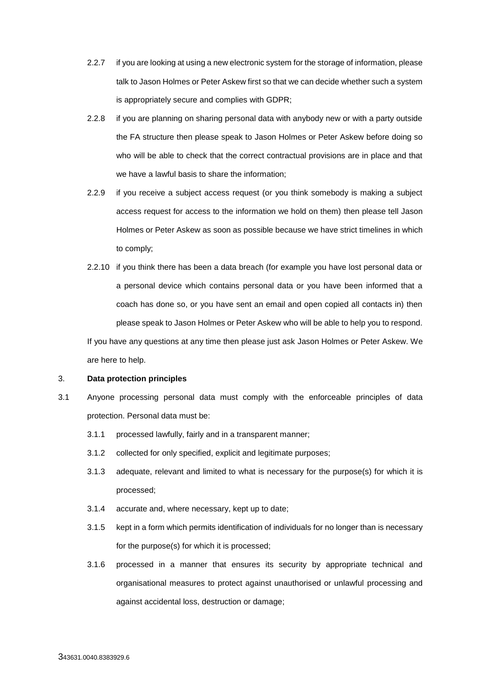- 2.2.7 if you are looking at using a new electronic system for the storage of information, please talk to Jason Holmes or Peter Askew first so that we can decide whether such a system is appropriately secure and complies with GDPR;
- 2.2.8 if you are planning on sharing personal data with anybody new or with a party outside the FA structure then please speak to Jason Holmes or Peter Askew before doing so who will be able to check that the correct contractual provisions are in place and that we have a lawful basis to share the information;
- 2.2.9 if you receive a subject access request (or you think somebody is making a subject access request for access to the information we hold on them) then please tell Jason Holmes or Peter Askew as soon as possible because we have strict timelines in which to comply;
- 2.2.10 if you think there has been a data breach (for example you have lost personal data or a personal device which contains personal data or you have been informed that a coach has done so, or you have sent an email and open copied all contacts in) then please speak to Jason Holmes or Peter Askew who will be able to help you to respond.

If you have any questions at any time then please just ask Jason Holmes or Peter Askew. We are here to help.

### <span id="page-2-0"></span>3. **Data protection principles**

- 3.1 Anyone processing personal data must comply with the enforceable principles of data protection. Personal data must be:
	- 3.1.1 processed lawfully, fairly and in a transparent manner;
	- 3.1.2 collected for only specified, explicit and legitimate purposes;
	- 3.1.3 adequate, relevant and limited to what is necessary for the purpose(s) for which it is processed;
	- 3.1.4 accurate and, where necessary, kept up to date;
	- 3.1.5 kept in a form which permits identification of individuals for no longer than is necessary for the purpose(s) for which it is processed;
	- 3.1.6 processed in a manner that ensures its security by appropriate technical and organisational measures to protect against unauthorised or unlawful processing and against accidental loss, destruction or damage;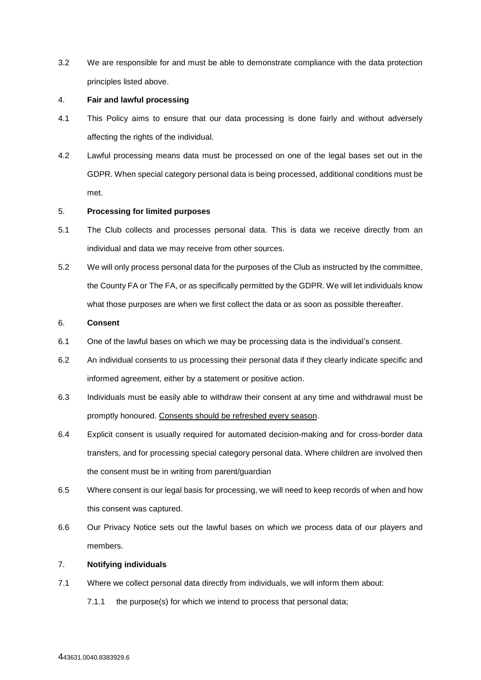3.2 We are responsible for and must be able to demonstrate compliance with the data protection principles listed above.

### 4. **Fair and lawful processing**

- 4.1 This Policy aims to ensure that our data processing is done fairly and without adversely affecting the rights of the individual.
- 4.2 Lawful processing means data must be processed on one of the legal bases set out in the GDPR. When special category personal data is being processed, additional conditions must be met.

# 5. **Processing for limited purposes**

- 5.1 The Club collects and processes personal data. This is data we receive directly from an individual and data we may receive from other sources.
- 5.2 We will only process personal data for the purposes of the Club as instructed by the committee, the County FA or The FA, or as specifically permitted by the GDPR. We will let individuals know what those purposes are when we first collect the data or as soon as possible thereafter.

### 6. **Consent**

- 6.1 One of the lawful bases on which we may be processing data is the individual's consent.
- 6.2 An individual consents to us processing their personal data if they clearly indicate specific and informed agreement, either by a statement or positive action.
- 6.3 Individuals must be easily able to withdraw their consent at any time and withdrawal must be promptly honoured. Consents should be refreshed every season.
- 6.4 Explicit consent is usually required for automated decision-making and for cross-border data transfers, and for processing special category personal data. Where children are involved then the consent must be in writing from parent/guardian
- 6.5 Where consent is our legal basis for processing, we will need to keep records of when and how this consent was captured.
- 6.6 Our Privacy Notice sets out the lawful bases on which we process data of our players and members.

# 7. **Notifying individuals**

- 7.1 Where we collect personal data directly from individuals, we will inform them about:
	- 7.1.1 the purpose(s) for which we intend to process that personal data;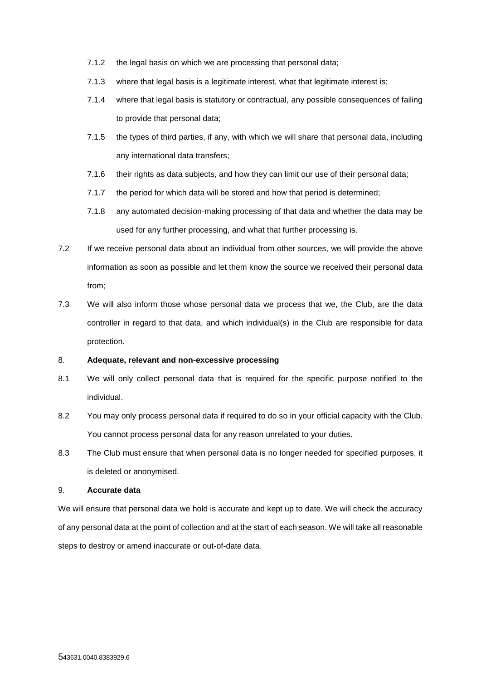- 7.1.2 the legal basis on which we are processing that personal data;
- 7.1.3 where that legal basis is a legitimate interest, what that legitimate interest is;
- 7.1.4 where that legal basis is statutory or contractual, any possible consequences of failing to provide that personal data;
- 7.1.5 the types of third parties, if any, with which we will share that personal data, including any international data transfers;
- 7.1.6 their rights as data subjects, and how they can limit our use of their personal data;
- 7.1.7 the period for which data will be stored and how that period is determined;
- 7.1.8 any automated decision-making processing of that data and whether the data may be used for any further processing, and what that further processing is.
- 7.2 If we receive personal data about an individual from other sources, we will provide the above information as soon as possible and let them know the source we received their personal data from;
- 7.3 We will also inform those whose personal data we process that we, the Club, are the data controller in regard to that data, and which individual(s) in the Club are responsible for data protection.

# 8. **Adequate, relevant and non-excessive processing**

- 8.1 We will only collect personal data that is required for the specific purpose notified to the individual.
- 8.2 You may only process personal data if required to do so in your official capacity with the Club. You cannot process personal data for any reason unrelated to your duties.
- 8.3 The Club must ensure that when personal data is no longer needed for specified purposes, it is deleted or anonymised.

# 9. **Accurate data**

We will ensure that personal data we hold is accurate and kept up to date. We will check the accuracy of any personal data at the point of collection and at the start of each season. We will take all reasonable steps to destroy or amend inaccurate or out-of-date data.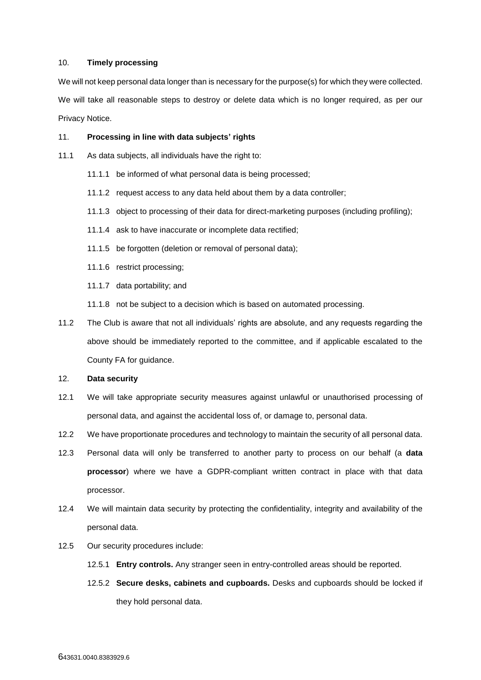### 10. **Timely processing**

We will not keep personal data longer than is necessary for the purpose(s) for which they were collected. We will take all reasonable steps to destroy or delete data which is no longer required, as per our Privacy Notice.

# 11. **Processing in line with data subjects' rights**

- 11.1 As data subjects, all individuals have the right to:
	- 11.1.1 be informed of what personal data is being processed;
	- 11.1.2 request access to any data held about them by a data controller;
	- 11.1.3 object to processing of their data for direct-marketing purposes (including profiling);
	- 11.1.4 ask to have inaccurate or incomplete data rectified;
	- 11.1.5 be forgotten (deletion or removal of personal data);
	- 11.1.6 restrict processing;
	- 11.1.7 data portability; and
	- 11.1.8 not be subject to a decision which is based on automated processing.
- 11.2 The Club is aware that not all individuals' rights are absolute, and any requests regarding the above should be immediately reported to the committee, and if applicable escalated to the County FA for guidance.

## 12. **Data security**

- 12.1 We will take appropriate security measures against unlawful or unauthorised processing of personal data, and against the accidental loss of, or damage to, personal data.
- 12.2 We have proportionate procedures and technology to maintain the security of all personal data.
- 12.3 Personal data will only be transferred to another party to process on our behalf (a **data processor**) where we have a GDPR-compliant written contract in place with that data processor.
- 12.4 We will maintain data security by protecting the confidentiality, integrity and availability of the personal data.
- 12.5 Our security procedures include:
	- 12.5.1 **Entry controls.** Any stranger seen in entry-controlled areas should be reported.
	- 12.5.2 **Secure desks, cabinets and cupboards.** Desks and cupboards should be locked if they hold personal data.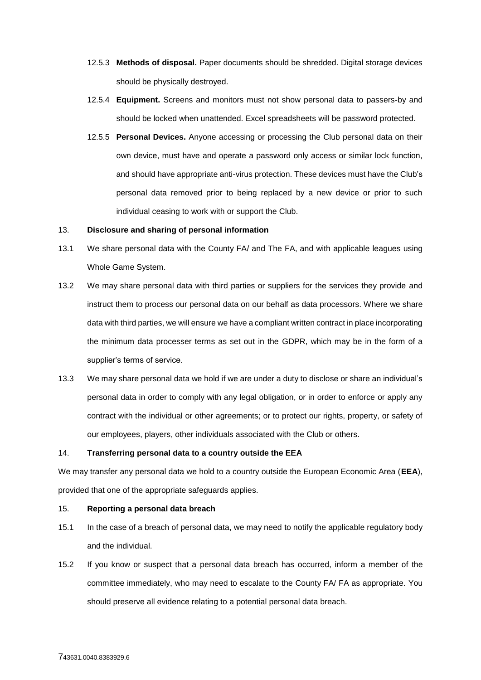- 12.5.3 **Methods of disposal.** Paper documents should be shredded. Digital storage devices should be physically destroyed.
- 12.5.4 **Equipment.** Screens and monitors must not show personal data to passers-by and should be locked when unattended. Excel spreadsheets will be password protected.
- 12.5.5 **Personal Devices.** Anyone accessing or processing the Club personal data on their own device, must have and operate a password only access or similar lock function, and should have appropriate anti-virus protection. These devices must have the Club's personal data removed prior to being replaced by a new device or prior to such individual ceasing to work with or support the Club.

### 13. **Disclosure and sharing of personal information**

- 13.1 We share personal data with the County FA/ and The FA, and with applicable leagues using Whole Game System.
- 13.2 We may share personal data with third parties or suppliers for the services they provide and instruct them to process our personal data on our behalf as data processors. Where we share data with third parties, we will ensure we have a compliant written contract in place incorporating the minimum data processer terms as set out in the GDPR, which may be in the form of a supplier's terms of service.
- 13.3 We may share personal data we hold if we are under a duty to disclose or share an individual's personal data in order to comply with any legal obligation, or in order to enforce or apply any contract with the individual or other agreements; or to protect our rights, property, or safety of our employees, players, other individuals associated with the Club or others.

### 14. **Transferring personal data to a country outside the EEA**

We may transfer any personal data we hold to a country outside the European Economic Area (**EEA**), provided that one of the appropriate safeguards applies.

# 15. **Reporting a personal data breach**

- 15.1 In the case of a breach of personal data, we may need to notify the applicable regulatory body and the individual.
- 15.2 If you know or suspect that a personal data breach has occurred, inform a member of the committee immediately, who may need to escalate to the County FA/ FA as appropriate. You should preserve all evidence relating to a potential personal data breach.